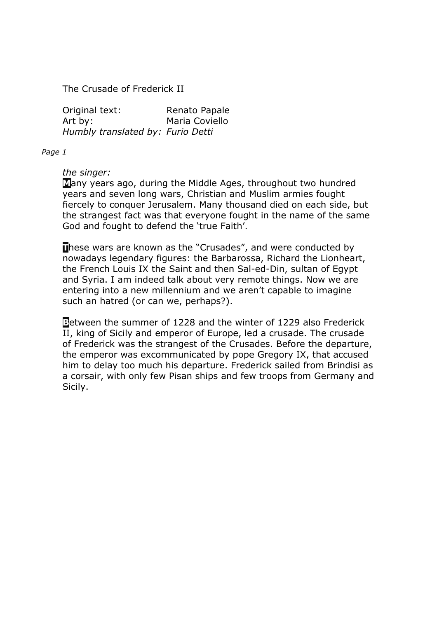The Crusade of Frederick II

Original text: Renato Papale Art by: Maria Coviello *Humbly translated by: Furio Detti* 

*Page 1* 

# *the singer:*

**M**any years ago, during the Middle Ages, throughout two hundred years and seven long wars, Christian and Muslim armies fought fiercely to conquer Jerusalem. Many thousand died on each side, but the strangest fact was that everyone fought in the name of the same God and fought to defend the 'true Faith'.

**These wars are known as the "Crusades", and were conducted by** nowadays legendary figures: the Barbarossa, Richard the Lionheart, the French Louis IX the Saint and then Sal-ed-Din, sultan of Egypt and Syria. I am indeed talk about very remote things. Now we are entering into a new millennium and we aren't capable to imagine such an hatred (or can we, perhaps?).

**B**etween the summer of 1228 and the winter of 1229 also Frederick II, king of Sicily and emperor of Europe, led a crusade. The crusade of Frederick was the strangest of the Crusades. Before the departure, the emperor was excommunicated by pope Gregory IX, that accused him to delay too much his departure. Frederick sailed from Brindisi as a corsair, with only few Pisan ships and few troops from Germany and Sicily.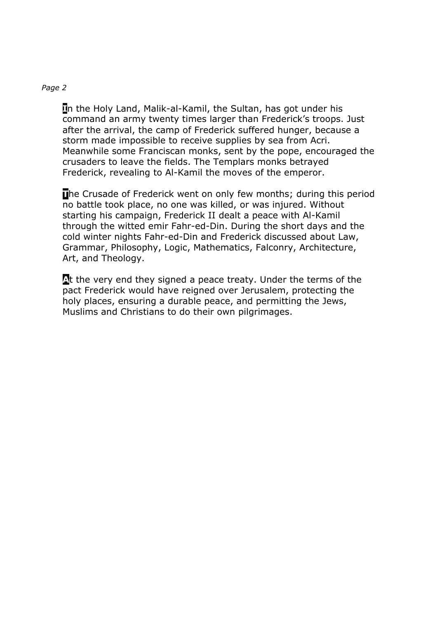**I**n the Holy Land, Malik-al-Kamil, the Sultan, has got under his command an army twenty times larger than Frederick's troops. Just after the arrival, the camp of Frederick suffered hunger, because a storm made impossible to receive supplies by sea from Acri. Meanwhile some Franciscan monks, sent by the pope, encouraged the crusaders to leave the fields. The Templars monks betrayed Frederick, revealing to Al-Kamil the moves of the emperor.

**The Crusade of Frederick went on only few months; during this period** no battle took place, no one was killed, or was injured. Without starting his campaign, Frederick II dealt a peace with Al-Kamil through the witted emir Fahr-ed-Din. During the short days and the cold winter nights Fahr-ed-Din and Frederick discussed about Law, Grammar, Philosophy, Logic, Mathematics, Falconry, Architecture, Art, and Theology.

A<sup>t</sup> the very end they signed a peace treaty. Under the terms of the pact Frederick would have reigned over Jerusalem, protecting the holy places, ensuring a durable peace, and permitting the Jews, Muslims and Christians to do their own pilgrimages.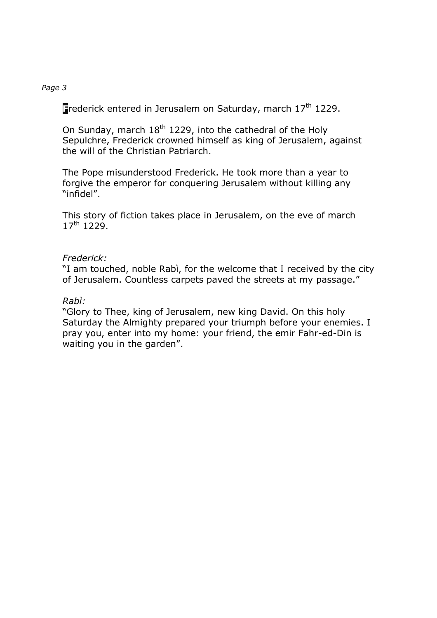**F**rederick entered in Jerusalem on Saturday, march 17<sup>th</sup> 1229.

On Sunday, march  $18<sup>th</sup> 1229$ , into the cathedral of the Holy Sepulchre, Frederick crowned himself as king of Jerusalem, against the will of the Christian Patriarch.

The Pope misunderstood Frederick. He took more than a year to forgive the emperor for conquering Jerusalem without killing any "infidel".

This story of fiction takes place in Jerusalem, on the eve of march  $17^{th}$  1229.

# *Frederick:*

"I am touched, noble Rabì, for the welcome that I received by the city of Jerusalem. Countless carpets paved the streets at my passage."

# *Rabì:*

"Glory to Thee, king of Jerusalem, new king David. On this holy Saturday the Almighty prepared your triumph before your enemies. I pray you, enter into my home: your friend, the emir Fahr-ed-Din is waiting you in the garden".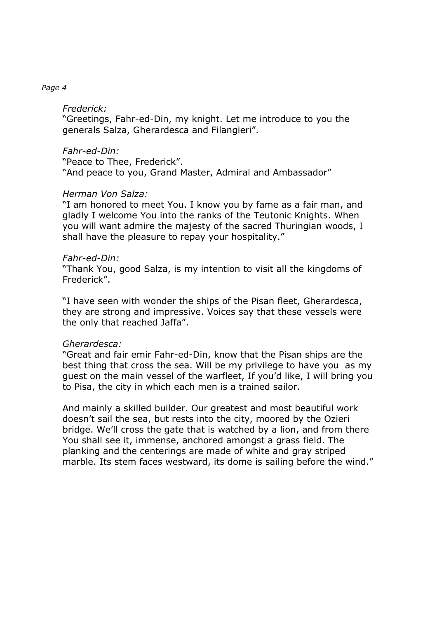### *Frederick:*

"Greetings, Fahr-ed-Din, my knight. Let me introduce to you the generals Salza, Gherardesca and Filangieri".

# *Fahr-ed-Din:*

"Peace to Thee, Frederick". "And peace to you, Grand Master, Admiral and Ambassador"

### *Herman Von Salza:*

"I am honored to meet You. I know you by fame as a fair man, and gladly I welcome You into the ranks of the Teutonic Knights. When you will want admire the majesty of the sacred Thuringian woods, I shall have the pleasure to repay your hospitality."

### *Fahr-ed-Din:*

"Thank You, good Salza, is my intention to visit all the kingdoms of Frederick".

"I have seen with wonder the ships of the Pisan fleet, Gherardesca, they are strong and impressive. Voices say that these vessels were the only that reached Jaffa".

# *Gherardesca:*

"Great and fair emir Fahr-ed-Din, know that the Pisan ships are the best thing that cross the sea. Will be my privilege to have you as my guest on the main vessel of the warfleet, If you'd like, I will bring you to Pisa, the city in which each men is a trained sailor.

And mainly a skilled builder. Our greatest and most beautiful work doesn't sail the sea, but rests into the city, moored by the Ozieri bridge. We'll cross the gate that is watched by a lion, and from there You shall see it, immense, anchored amongst a grass field. The planking and the centerings are made of white and gray striped marble. Its stem faces westward, its dome is sailing before the wind."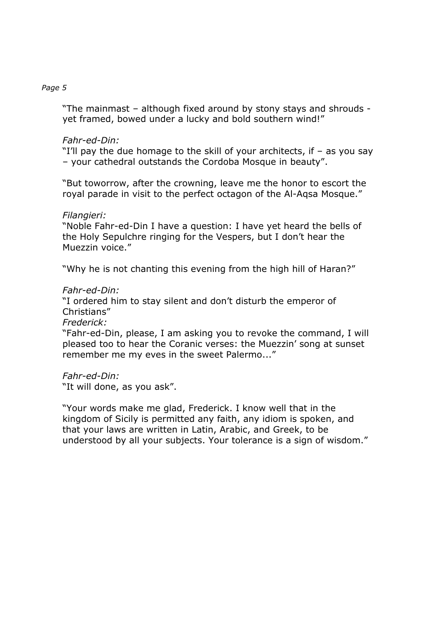"The mainmast – although fixed around by stony stays and shrouds yet framed, bowed under a lucky and bold southern wind!"

# *Fahr-ed-Din:*

"I'll pay the due homage to the skill of your architects, if – as you say – your cathedral outstands the Cordoba Mosque in beauty".

"But toworrow, after the crowning, leave me the honor to escort the royal parade in visit to the perfect octagon of the Al-Aqsa Mosque."

# *Filangieri:*

"Noble Fahr-ed-Din I have a question: I have yet heard the bells of the Holy Sepulchre ringing for the Vespers, but I don't hear the Muezzin voice."

"Why he is not chanting this evening from the high hill of Haran?"

### *Fahr-ed-Din:*

"I ordered him to stay silent and don't disturb the emperor of Christians"

### *Frederick:*

"Fahr-ed-Din, please, I am asking you to revoke the command, I will pleased too to hear the Coranic verses: the Muezzin' song at sunset remember me my eves in the sweet Palermo..."

# *Fahr-ed-Din:*

"It will done, as you ask".

"Your words make me glad, Frederick. I know well that in the kingdom of Sicily is permitted any faith, any idiom is spoken, and that your laws are written in Latin, Arabic, and Greek, to be understood by all your subjects. Your tolerance is a sign of wisdom."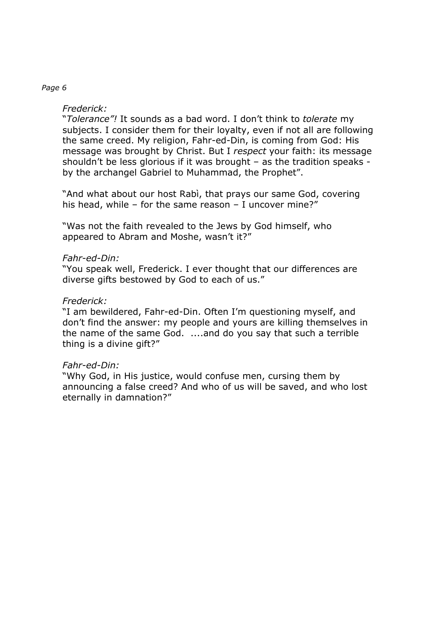# *Frederick:*

"*Tolerance"!* It sounds as a bad word. I don't think to *tolerate* my subjects. I consider them for their loyalty, even if not all are following the same creed. My religion, Fahr-ed-Din, is coming from God: His message was brought by Christ. But I *respect* your faith: its message shouldn't be less glorious if it was brought – as the tradition speaks by the archangel Gabriel to Muhammad, the Prophet".

"And what about our host Rabì, that prays our same God, covering his head, while – for the same reason – I uncover mine?"

"Was not the faith revealed to the Jews by God himself, who appeared to Abram and Moshe, wasn't it?"

### *Fahr-ed-Din:*

"You speak well, Frederick. I ever thought that our differences are diverse gifts bestowed by God to each of us."

# *Frederick:*

"I am bewildered, Fahr-ed-Din. Often I'm questioning myself, and don't find the answer: my people and yours are killing themselves in the name of the same God. ....and do you say that such a terrible thing is a divine gift?"

### *Fahr-ed-Din:*

"Why God, in His justice, would confuse men, cursing them by announcing a false creed? And who of us will be saved, and who lost eternally in damnation?"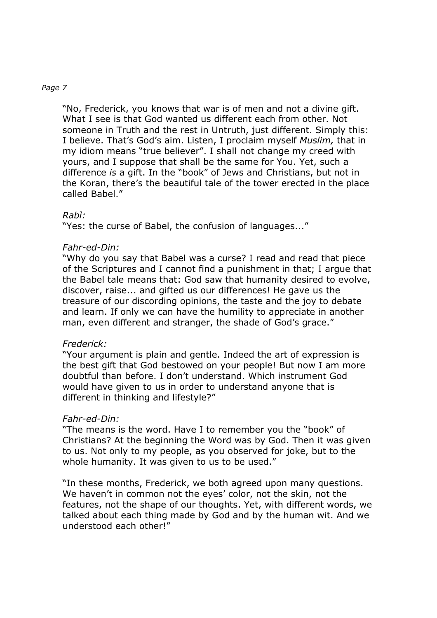"No, Frederick, you knows that war is of men and not a divine gift. What I see is that God wanted us different each from other. Not someone in Truth and the rest in Untruth, just different. Simply this: I believe. That's God's aim. Listen, I proclaim myself *Muslim,* that in my idiom means "true believer". I shall not change my creed with yours, and I suppose that shall be the same for You. Yet, such a difference *is* a gift. In the "book" of Jews and Christians, but not in the Koran, there's the beautiful tale of the tower erected in the place called Babel."

# *Rabì:*

"Yes: the curse of Babel, the confusion of languages..."

# *Fahr-ed-Din:*

"Why do you say that Babel was a curse? I read and read that piece of the Scriptures and I cannot find a punishment in that; I argue that the Babel tale means that: God saw that humanity desired to evolve, discover, raise... and gifted us our differences! He gave us the treasure of our discording opinions, the taste and the joy to debate and learn. If only we can have the humility to appreciate in another man, even different and stranger, the shade of God's grace."

# *Frederick:*

"Your argument is plain and gentle. Indeed the art of expression is the best gift that God bestowed on your people! But now I am more doubtful than before. I don't understand. Which instrument God would have given to us in order to understand anyone that is different in thinking and lifestyle?"

# *Fahr-ed-Din:*

"The means is the word. Have I to remember you the "book" of Christians? At the beginning the Word was by God. Then it was given to us. Not only to my people, as you observed for joke, but to the whole humanity. It was given to us to be used."

"In these months, Frederick, we both agreed upon many questions. We haven't in common not the eyes' color, not the skin, not the features, not the shape of our thoughts. Yet, with different words, we talked about each thing made by God and by the human wit. And we understood each other!"